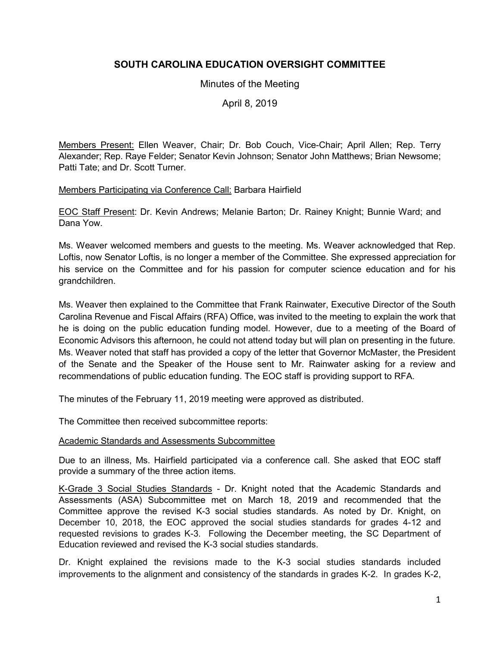# **SOUTH CAROLINA EDUCATION OVERSIGHT COMMITTEE**

## Minutes of the Meeting

April 8, 2019

Members Present: Ellen Weaver, Chair; Dr. Bob Couch, Vice-Chair; April Allen; Rep. Terry Alexander; Rep. Raye Felder; Senator Kevin Johnson; Senator John Matthews; Brian Newsome; Patti Tate; and Dr. Scott Turner.

#### Members Participating via Conference Call: Barbara Hairfield

EOC Staff Present: Dr. Kevin Andrews; Melanie Barton; Dr. Rainey Knight; Bunnie Ward; and Dana Yow.

Ms. Weaver welcomed members and guests to the meeting. Ms. Weaver acknowledged that Rep. Loftis, now Senator Loftis, is no longer a member of the Committee. She expressed appreciation for his service on the Committee and for his passion for computer science education and for his grandchildren.

Ms. Weaver then explained to the Committee that Frank Rainwater, Executive Director of the South Carolina Revenue and Fiscal Affairs (RFA) Office, was invited to the meeting to explain the work that he is doing on the public education funding model. However, due to a meeting of the Board of Economic Advisors this afternoon, he could not attend today but will plan on presenting in the future. Ms. Weaver noted that staff has provided a copy of the letter that Governor McMaster, the President of the Senate and the Speaker of the House sent to Mr. Rainwater asking for a review and recommendations of public education funding. The EOC staff is providing support to RFA.

The minutes of the February 11, 2019 meeting were approved as distributed.

The Committee then received subcommittee reports:

### Academic Standards and Assessments Subcommittee

Due to an illness, Ms. Hairfield participated via a conference call. She asked that EOC staff provide a summary of the three action items.

K-Grade 3 Social Studies Standards - Dr. Knight noted that the Academic Standards and Assessments (ASA) Subcommittee met on March 18, 2019 and recommended that the Committee approve the revised K-3 social studies standards. As noted by Dr. Knight, on December 10, 2018, the EOC approved the social studies standards for grades 4-12 and requested revisions to grades K-3. Following the December meeting, the SC Department of Education reviewed and revised the K-3 social studies standards.

Dr. Knight explained the revisions made to the K-3 social studies standards included improvements to the alignment and consistency of the standards in grades K-2. In grades K-2,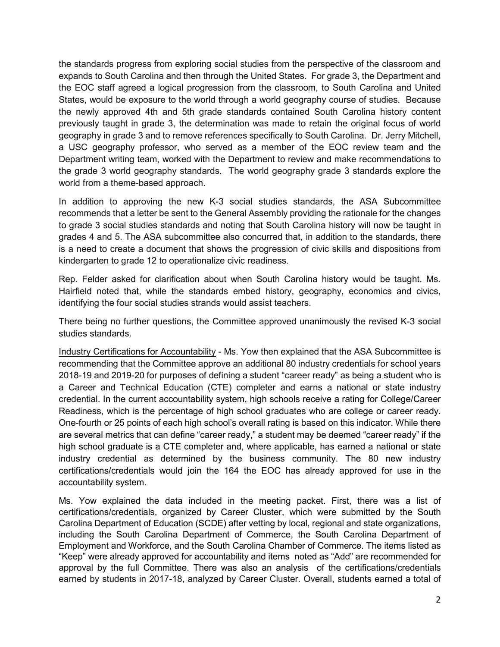the standards progress from exploring social studies from the perspective of the classroom and expands to South Carolina and then through the United States. For grade 3, the Department and the EOC staff agreed a logical progression from the classroom, to South Carolina and United States, would be exposure to the world through a world geography course of studies. Because the newly approved 4th and 5th grade standards contained South Carolina history content previously taught in grade 3, the determination was made to retain the original focus of world geography in grade 3 and to remove references specifically to South Carolina. Dr. Jerry Mitchell, a USC geography professor, who served as a member of the EOC review team and the Department writing team, worked with the Department to review and make recommendations to the grade 3 world geography standards. The world geography grade 3 standards explore the world from a theme-based approach.

In addition to approving the new K-3 social studies standards, the ASA Subcommittee recommends that a letter be sent to the General Assembly providing the rationale for the changes to grade 3 social studies standards and noting that South Carolina history will now be taught in grades 4 and 5. The ASA subcommittee also concurred that, in addition to the standards, there is a need to create a document that shows the progression of civic skills and dispositions from kindergarten to grade 12 to operationalize civic readiness.

Rep. Felder asked for clarification about when South Carolina history would be taught. Ms. Hairfield noted that, while the standards embed history, geography, economics and civics, identifying the four social studies strands would assist teachers.

There being no further questions, the Committee approved unanimously the revised K-3 social studies standards.

Industry Certifications for Accountability - Ms. Yow then explained that the ASA Subcommittee is recommending that the Committee approve an additional 80 industry credentials for school years 2018-19 and 2019-20 for purposes of defining a student "career ready" as being a student who is a Career and Technical Education (CTE) completer and earns a national or state industry credential. In the current accountability system, high schools receive a rating for College/Career Readiness, which is the percentage of high school graduates who are college or career ready. One-fourth or 25 points of each high school's overall rating is based on this indicator. While there are several metrics that can define "career ready," a student may be deemed "career ready" if the high school graduate is a CTE completer and, where applicable, has earned a national or state industry credential as determined by the business community. The 80 new industry certifications/credentials would join the 164 the EOC has already approved for use in the accountability system.

Ms. Yow explained the data included in the meeting packet. First, there was a list of certifications/credentials, organized by Career Cluster, which were submitted by the South Carolina Department of Education (SCDE) after vetting by local, regional and state organizations, including the South Carolina Department of Commerce, the South Carolina Department of Employment and Workforce, and the South Carolina Chamber of Commerce. The items listed as "Keep" were already approved for accountability and items noted as "Add" are recommended for approval by the full Committee. There was also an analysis of the certifications/credentials earned by students in 2017-18, analyzed by Career Cluster. Overall, students earned a total of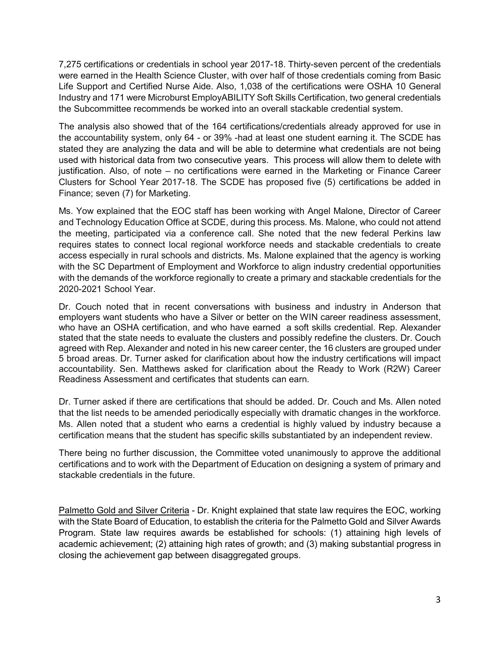7,275 certifications or credentials in school year 2017-18. Thirty-seven percent of the credentials were earned in the Health Science Cluster, with over half of those credentials coming from Basic Life Support and Certified Nurse Aide. Also, 1,038 of the certifications were OSHA 10 General Industry and 171 were Microburst EmployABILITY Soft Skills Certification, two general credentials the Subcommittee recommends be worked into an overall stackable credential system.

The analysis also showed that of the 164 certifications/credentials already approved for use in the accountability system, only 64 - or 39% -had at least one student earning it. The SCDE has stated they are analyzing the data and will be able to determine what credentials are not being used with historical data from two consecutive years. This process will allow them to delete with justification. Also, of note – no certifications were earned in the Marketing or Finance Career Clusters for School Year 2017-18. The SCDE has proposed five (5) certifications be added in Finance; seven (7) for Marketing.

Ms. Yow explained that the EOC staff has been working with Angel Malone, Director of Career and Technology Education Office at SCDE, during this process. Ms. Malone, who could not attend the meeting, participated via a conference call. She noted that the new federal Perkins law requires states to connect local regional workforce needs and stackable credentials to create access especially in rural schools and districts. Ms. Malone explained that the agency is working with the SC Department of Employment and Workforce to align industry credential opportunities with the demands of the workforce regionally to create a primary and stackable credentials for the 2020-2021 School Year.

Dr. Couch noted that in recent conversations with business and industry in Anderson that employers want students who have a Silver or better on the WIN career readiness assessment, who have an OSHA certification, and who have earned a soft skills credential. Rep. Alexander stated that the state needs to evaluate the clusters and possibly redefine the clusters. Dr. Couch agreed with Rep. Alexander and noted in his new career center, the 16 clusters are grouped under 5 broad areas. Dr. Turner asked for clarification about how the industry certifications will impact accountability. Sen. Matthews asked for clarification about the Ready to Work (R2W) Career Readiness Assessment and certificates that students can earn.

Dr. Turner asked if there are certifications that should be added. Dr. Couch and Ms. Allen noted that the list needs to be amended periodically especially with dramatic changes in the workforce. Ms. Allen noted that a student who earns a credential is highly valued by industry because a certification means that the student has specific skills substantiated by an independent review.

There being no further discussion, the Committee voted unanimously to approve the additional certifications and to work with the Department of Education on designing a system of primary and stackable credentials in the future.

Palmetto Gold and Silver Criteria - Dr. Knight explained that state law requires the EOC, working with the State Board of Education, to establish the criteria for the Palmetto Gold and Silver Awards Program. State law requires awards be established for schools: (1) attaining high levels of academic achievement; (2) attaining high rates of growth; and (3) making substantial progress in closing the achievement gap between disaggregated groups.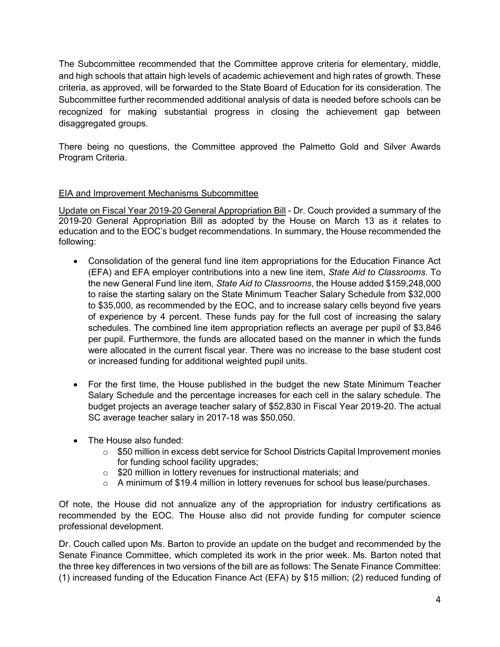The Subcommittee recommended that the Committee approve criteria for elementary, middle, and high schools that attain high levels of academic achievement and high rates of growth. These criteria, as approved, will be forwarded to the State Board of Education for its consideration. The Subcommittee further recommended additional analysis of data is needed before schools can be recognized for making substantial progress in closing the achievement gap between disaggregated groups.

There being no questions, the Committee approved the Palmetto Gold and Silver Awards Program Criteria.

# EIA and Improvement Mechanisms Subcommittee

Update on Fiscal Year 2019-20 General Appropriation Bill - Dr. Couch provided a summary of the 2019-20 General Appropriation Bill as adopted by the House on March 13 as it relates to education and to the EOC's budget recommendations. In summary, the House recommended the following:

- Consolidation of the general fund line item appropriations for the Education Finance Act (EFA) and EFA employer contributions into a new line item, *State Aid to Classrooms*. To the new General Fund line item, *State Aid to Classrooms*, the House added \$159,248,000 to raise the starting salary on the State Minimum Teacher Salary Schedule from \$32,000 to \$35,000, as recommended by the EOC, and to increase salary cells beyond five years of experience by 4 percent. These funds pay for the full cost of increasing the salary schedules. The combined line item appropriation reflects an average per pupil of \$3,846 per pupil. Furthermore, the funds are allocated based on the manner in which the funds were allocated in the current fiscal year. There was no increase to the base student cost or increased funding for additional weighted pupil units.
- For the first time, the House published in the budget the new State Minimum Teacher Salary Schedule and the percentage increases for each cell in the salary schedule. The budget projects an average teacher salary of \$52,830 in Fiscal Year 2019-20. The actual SC average teacher salary in 2017-18 was \$50,050.
- The House also funded:
	- $\circ$  \$50 million in excess debt service for School Districts Capital Improvement monies for funding school facility upgrades;
	- o \$20 million in lottery revenues for instructional materials; and
	- $\circ$  A minimum of \$19.4 million in lottery revenues for school bus lease/purchases.

Of note, the House did not annualize any of the appropriation for industry certifications as recommended by the EOC. The House also did not provide funding for computer science professional development.

Dr. Couch called upon Ms. Barton to provide an update on the budget and recommended by the Senate Finance Committee, which completed its work in the prior week. Ms. Barton noted that the three key differences in two versions of the bill are as follows: The Senate Finance Committee: (1) increased funding of the Education Finance Act (EFA) by \$15 million; (2) reduced funding of